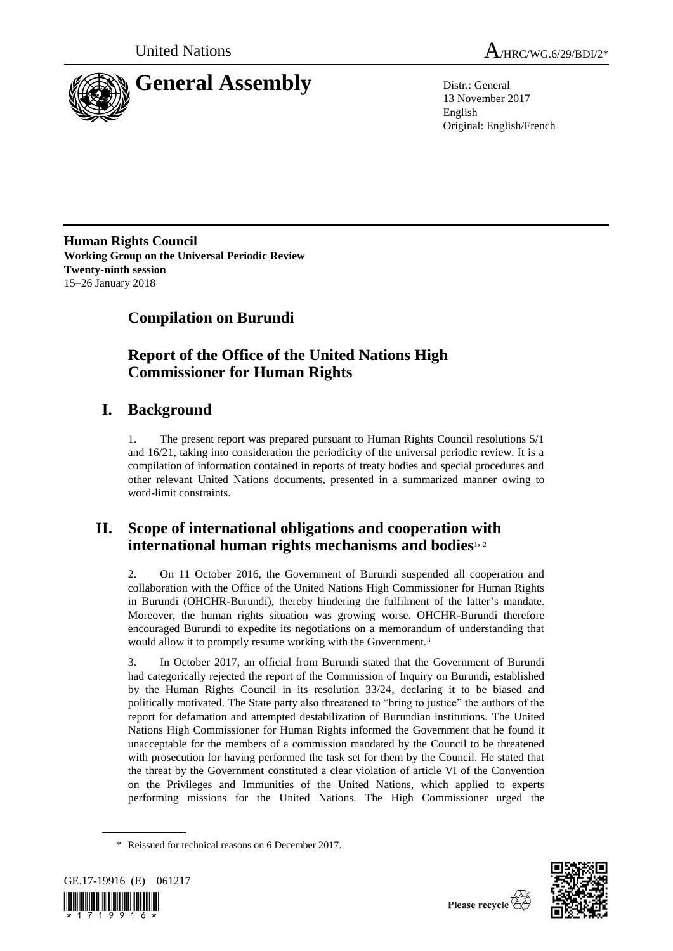



13 November 2017 English Original: English/French

**Human Rights Council Working Group on the Universal Periodic Review Twenty-ninth session** 15–26 January 2018

# **Compilation on Burundi**

# **Report of the Office of the United Nations High Commissioner for Human Rights**

# **I. Background**

1. The present report was prepared pursuant to Human Rights Council resolutions 5/1 and 16/21, taking into consideration the periodicity of the universal periodic review. It is a compilation of information contained in reports of treaty bodies and special procedures and other relevant United Nations documents, presented in a summarized manner owing to word-limit constraints.

# **II. Scope of international obligations and cooperation with international human rights mechanisms and bodies**1, <sup>2</sup>

2. On 11 October 2016, the Government of Burundi suspended all cooperation and collaboration with the Office of the United Nations High Commissioner for Human Rights in Burundi (OHCHR-Burundi), thereby hindering the fulfilment of the latter's mandate. Moreover, the human rights situation was growing worse. OHCHR-Burundi therefore encouraged Burundi to expedite its negotiations on a memorandum of understanding that would allow it to promptly resume working with the Government.<sup>3</sup>

3. In October 2017, an official from Burundi stated that the Government of Burundi had categorically rejected the report of the Commission of Inquiry on Burundi, established by the Human Rights Council in its resolution 33/24, declaring it to be biased and politically motivated. The State party also threatened to "bring to justice" the authors of the report for defamation and attempted destabilization of Burundian institutions. The United Nations High Commissioner for Human Rights informed the Government that he found it unacceptable for the members of a commission mandated by the Council to be threatened with prosecution for having performed the task set for them by the Council. He stated that the threat by the Government constituted a clear violation of article VI of the Convention on the Privileges and Immunities of the United Nations, which applied to experts performing missions for the United Nations. The High Commissioner urged the

<sup>\*</sup> Reissued for technical reasons on 6 December 2017.





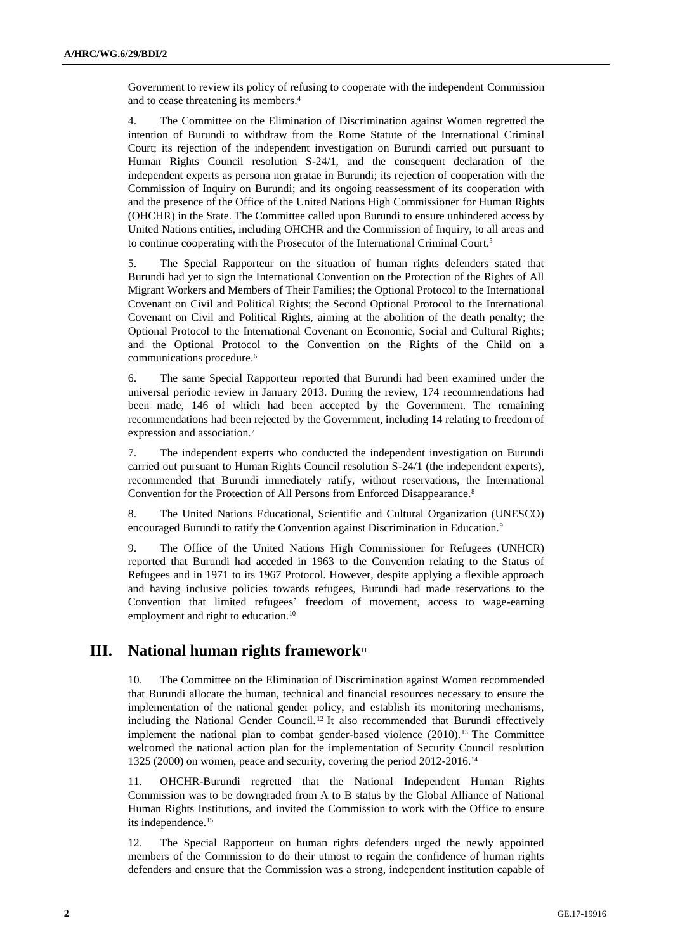Government to review its policy of refusing to cooperate with the independent Commission and to cease threatening its members. 4

4. The Committee on the Elimination of Discrimination against Women regretted the intention of Burundi to withdraw from the Rome Statute of the International Criminal Court; its rejection of the independent investigation on Burundi carried out pursuant to Human Rights Council resolution S-24/1, and the consequent declaration of the independent experts as persona non gratae in Burundi; its rejection of cooperation with the Commission of Inquiry on Burundi; and its ongoing reassessment of its cooperation with and the presence of the Office of the United Nations High Commissioner for Human Rights (OHCHR) in the State. The Committee called upon Burundi to ensure unhindered access by United Nations entities, including OHCHR and the Commission of Inquiry, to all areas and to continue cooperating with the Prosecutor of the International Criminal Court.<sup>5</sup>

5. The Special Rapporteur on the situation of human rights defenders stated that Burundi had yet to sign the International Convention on the Protection of the Rights of All Migrant Workers and Members of Their Families; the Optional Protocol to the International Covenant on Civil and Political Rights; the Second Optional Protocol to the International Covenant on Civil and Political Rights, aiming at the abolition of the death penalty; the Optional Protocol to the International Covenant on Economic, Social and Cultural Rights; and the Optional Protocol to the Convention on the Rights of the Child on a communications procedure.<sup>6</sup>

6. The same Special Rapporteur reported that Burundi had been examined under the universal periodic review in January 2013. During the review, 174 recommendations had been made, 146 of which had been accepted by the Government. The remaining recommendations had been rejected by the Government, including 14 relating to freedom of expression and association.<sup>7</sup>

7. The independent experts who conducted the independent investigation on Burundi carried out pursuant to Human Rights Council resolution S-24/1 (the independent experts), recommended that Burundi immediately ratify, without reservations, the International Convention for the Protection of All Persons from Enforced Disappearance.<sup>8</sup>

8. The United Nations Educational, Scientific and Cultural Organization (UNESCO) encouraged Burundi to ratify the Convention against Discrimination in Education.<sup>9</sup>

9. The Office of the United Nations High Commissioner for Refugees (UNHCR) reported that Burundi had acceded in 1963 to the Convention relating to the Status of Refugees and in 1971 to its 1967 Protocol. However, despite applying a flexible approach and having inclusive policies towards refugees, Burundi had made reservations to the Convention that limited refugees' freedom of movement, access to wage-earning employment and right to education.<sup>10</sup>

# **III. National human rights framework**<sup>11</sup>

10. The Committee on the Elimination of Discrimination against Women recommended that Burundi allocate the human, technical and financial resources necessary to ensure the implementation of the national gender policy, and establish its monitoring mechanisms, including the National Gender Council. <sup>12</sup> It also recommended that Burundi effectively implement the national plan to combat gender-based violence (2010).<sup>13</sup> The Committee welcomed the national action plan for the implementation of Security Council resolution 1325 (2000) on women, peace and security, covering the period 2012-2016.<sup>14</sup>

11. OHCHR-Burundi regretted that the National Independent Human Rights Commission was to be downgraded from A to B status by the Global Alliance of National Human Rights Institutions, and invited the Commission to work with the Office to ensure its independence.<sup>15</sup>

12. The Special Rapporteur on human rights defenders urged the newly appointed members of the Commission to do their utmost to regain the confidence of human rights defenders and ensure that the Commission was a strong, independent institution capable of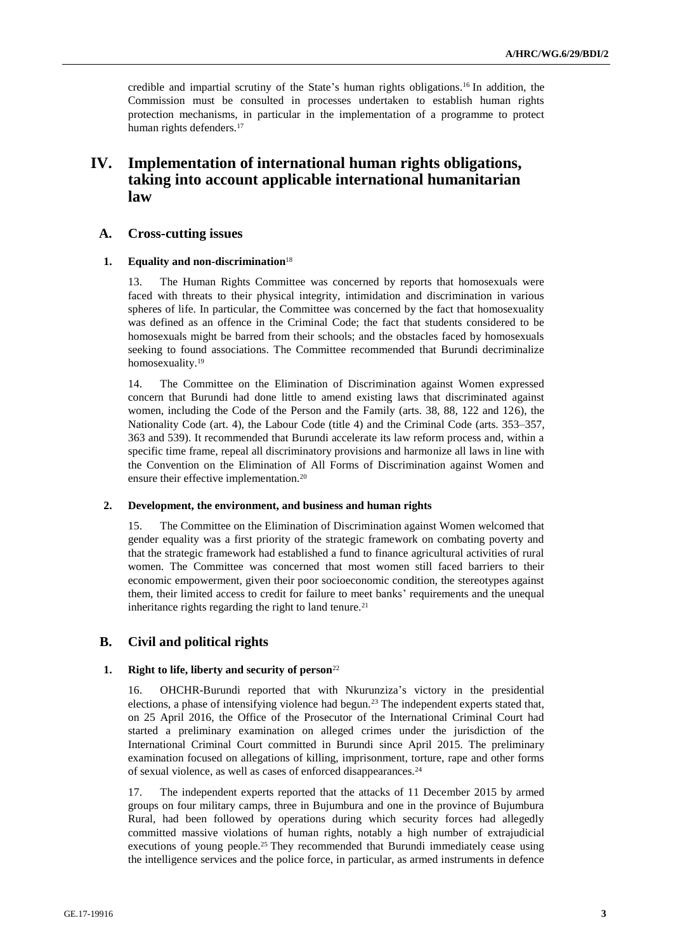credible and impartial scrutiny of the State's human rights obligations.<sup>16</sup> In addition, the Commission must be consulted in processes undertaken to establish human rights protection mechanisms, in particular in the implementation of a programme to protect human rights defenders.<sup>17</sup>

# **IV. Implementation of international human rights obligations, taking into account applicable international humanitarian law**

## **A. Cross-cutting issues**

### **1. Equality and non-discrimination**<sup>18</sup>

13. The Human Rights Committee was concerned by reports that homosexuals were faced with threats to their physical integrity, intimidation and discrimination in various spheres of life. In particular, the Committee was concerned by the fact that homosexuality was defined as an offence in the Criminal Code; the fact that students considered to be homosexuals might be barred from their schools; and the obstacles faced by homosexuals seeking to found associations. The Committee recommended that Burundi decriminalize homosexuality.<sup>19</sup>

14. The Committee on the Elimination of Discrimination against Women expressed concern that Burundi had done little to amend existing laws that discriminated against women, including the Code of the Person and the Family (arts. 38, 88, 122 and 126), the Nationality Code (art. 4), the Labour Code (title 4) and the Criminal Code (arts. 353–357, 363 and 539). It recommended that Burundi accelerate its law reform process and, within a specific time frame, repeal all discriminatory provisions and harmonize all laws in line with the Convention on the Elimination of All Forms of Discrimination against Women and ensure their effective implementation.<sup>20</sup>

#### **2. Development, the environment, and business and human rights**

15. The Committee on the Elimination of Discrimination against Women welcomed that gender equality was a first priority of the strategic framework on combating poverty and that the strategic framework had established a fund to finance agricultural activities of rural women. The Committee was concerned that most women still faced barriers to their economic empowerment, given their poor socioeconomic condition, the stereotypes against them, their limited access to credit for failure to meet banks' requirements and the unequal inheritance rights regarding the right to land tenure.<sup>21</sup>

# **B. Civil and political rights**

## **1. Right to life, liberty and security of person**<sup>22</sup>

16. OHCHR-Burundi reported that with Nkurunziza's victory in the presidential elections, a phase of intensifying violence had begun.<sup>23</sup> The independent experts stated that, on 25 April 2016, the Office of the Prosecutor of the International Criminal Court had started a preliminary examination on alleged crimes under the jurisdiction of the International Criminal Court committed in Burundi since April 2015. The preliminary examination focused on allegations of killing, imprisonment, torture, rape and other forms of sexual violence, as well as cases of enforced disappearances.<sup>24</sup>

17. The independent experts reported that the attacks of 11 December 2015 by armed groups on four military camps, three in Bujumbura and one in the province of Bujumbura Rural, had been followed by operations during which security forces had allegedly committed massive violations of human rights, notably a high number of extrajudicial executions of young people.<sup>25</sup> They recommended that Burundi immediately cease using the intelligence services and the police force, in particular, as armed instruments in defence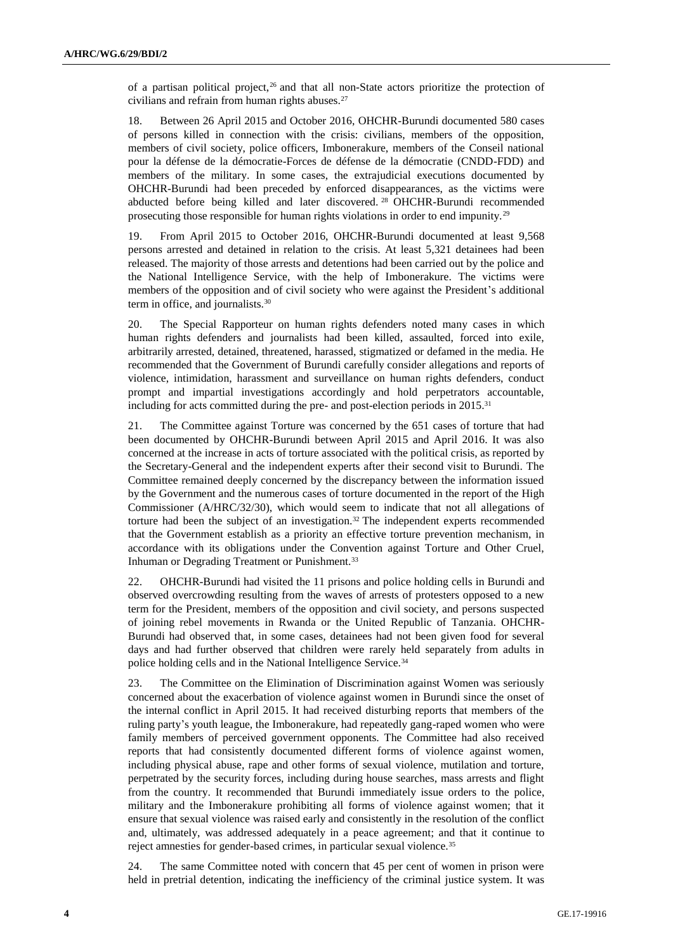of a partisan political project, $26$  and that all non-State actors prioritize the protection of civilians and refrain from human rights abuses.<sup>27</sup>

18. Between 26 April 2015 and October 2016, OHCHR-Burundi documented 580 cases of persons killed in connection with the crisis: civilians, members of the opposition, members of civil society, police officers, Imbonerakure, members of the Conseil national pour la défense de la démocratie-Forces de défense de la démocratie (CNDD-FDD) and members of the military. In some cases, the extrajudicial executions documented by OHCHR-Burundi had been preceded by enforced disappearances, as the victims were abducted before being killed and later discovered. <sup>28</sup> OHCHR-Burundi recommended prosecuting those responsible for human rights violations in order to end impunity.<sup>29</sup>

19. From April 2015 to October 2016, OHCHR-Burundi documented at least 9,568 persons arrested and detained in relation to the crisis. At least 5,321 detainees had been released. The majority of those arrests and detentions had been carried out by the police and the National Intelligence Service, with the help of Imbonerakure. The victims were members of the opposition and of civil society who were against the President's additional term in office, and journalists.<sup>30</sup>

20. The Special Rapporteur on human rights defenders noted many cases in which human rights defenders and journalists had been killed, assaulted, forced into exile, arbitrarily arrested, detained, threatened, harassed, stigmatized or defamed in the media. He recommended that the Government of Burundi carefully consider allegations and reports of violence, intimidation, harassment and surveillance on human rights defenders, conduct prompt and impartial investigations accordingly and hold perpetrators accountable, including for acts committed during the pre- and post-election periods in 2015.<sup>31</sup>

21. The Committee against Torture was concerned by the 651 cases of torture that had been documented by OHCHR-Burundi between April 2015 and April 2016. It was also concerned at the increase in acts of torture associated with the political crisis, as reported by the Secretary-General and the independent experts after their second visit to Burundi. The Committee remained deeply concerned by the discrepancy between the information issued by the Government and the numerous cases of torture documented in the report of the High Commissioner (A/HRC/32/30), which would seem to indicate that not all allegations of torture had been the subject of an investigation.<sup>32</sup> The independent experts recommended that the Government establish as a priority an effective torture prevention mechanism, in accordance with its obligations under the Convention against Torture and Other Cruel, Inhuman or Degrading Treatment or Punishment.<sup>33</sup>

22. OHCHR-Burundi had visited the 11 prisons and police holding cells in Burundi and observed overcrowding resulting from the waves of arrests of protesters opposed to a new term for the President, members of the opposition and civil society, and persons suspected of joining rebel movements in Rwanda or the United Republic of Tanzania. OHCHR-Burundi had observed that, in some cases, detainees had not been given food for several days and had further observed that children were rarely held separately from adults in police holding cells and in the National Intelligence Service.<sup>34</sup>

23. The Committee on the Elimination of Discrimination against Women was seriously concerned about the exacerbation of violence against women in Burundi since the onset of the internal conflict in April 2015. It had received disturbing reports that members of the ruling party's youth league, the Imbonerakure, had repeatedly gang-raped women who were family members of perceived government opponents. The Committee had also received reports that had consistently documented different forms of violence against women, including physical abuse, rape and other forms of sexual violence, mutilation and torture, perpetrated by the security forces, including during house searches, mass arrests and flight from the country. It recommended that Burundi immediately issue orders to the police, military and the Imbonerakure prohibiting all forms of violence against women; that it ensure that sexual violence was raised early and consistently in the resolution of the conflict and, ultimately, was addressed adequately in a peace agreement; and that it continue to reject amnesties for gender-based crimes, in particular sexual violence.<sup>35</sup>

24. The same Committee noted with concern that 45 per cent of women in prison were held in pretrial detention, indicating the inefficiency of the criminal justice system. It was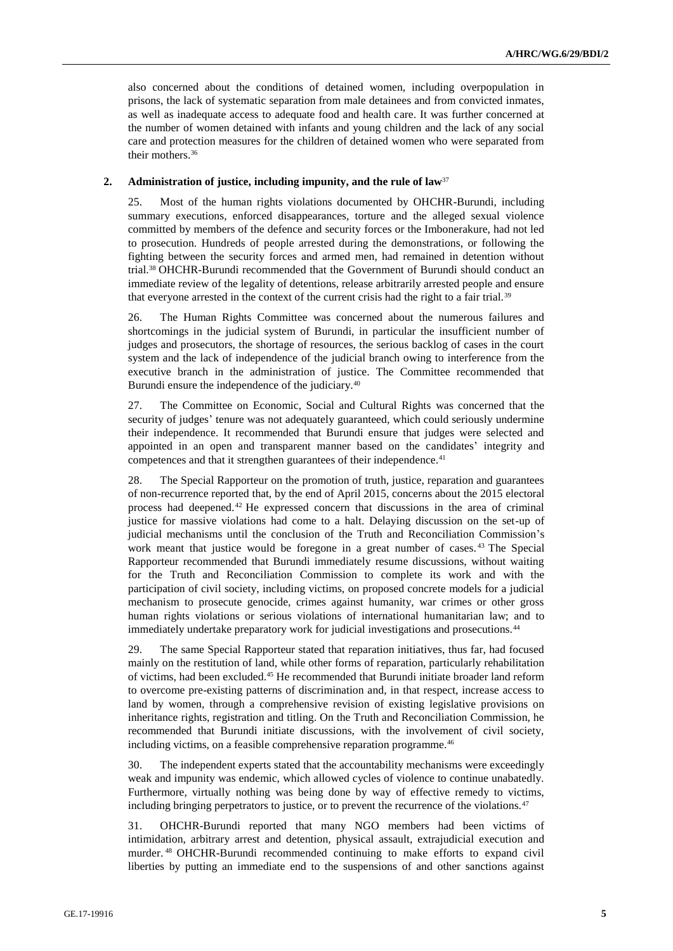also concerned about the conditions of detained women, including overpopulation in prisons, the lack of systematic separation from male detainees and from convicted inmates, as well as inadequate access to adequate food and health care. It was further concerned at the number of women detained with infants and young children and the lack of any social care and protection measures for the children of detained women who were separated from their mothers.<sup>36</sup>

## **2. Administration of justice, including impunity, and the rule of law**<sup>37</sup>

25. Most of the human rights violations documented by OHCHR-Burundi, including summary executions, enforced disappearances, torture and the alleged sexual violence committed by members of the defence and security forces or the Imbonerakure, had not led to prosecution. Hundreds of people arrested during the demonstrations, or following the fighting between the security forces and armed men, had remained in detention without trial.<sup>38</sup> OHCHR-Burundi recommended that the Government of Burundi should conduct an immediate review of the legality of detentions, release arbitrarily arrested people and ensure that everyone arrested in the context of the current crisis had the right to a fair trial.<sup>39</sup>

26. The Human Rights Committee was concerned about the numerous failures and shortcomings in the judicial system of Burundi, in particular the insufficient number of judges and prosecutors, the shortage of resources, the serious backlog of cases in the court system and the lack of independence of the judicial branch owing to interference from the executive branch in the administration of justice. The Committee recommended that Burundi ensure the independence of the judiciary.<sup>40</sup>

27. The Committee on Economic, Social and Cultural Rights was concerned that the security of judges' tenure was not adequately guaranteed, which could seriously undermine their independence. It recommended that Burundi ensure that judges were selected and appointed in an open and transparent manner based on the candidates' integrity and competences and that it strengthen guarantees of their independence.<sup>41</sup>

28. The Special Rapporteur on the promotion of truth, justice, reparation and guarantees of non-recurrence reported that, by the end of April 2015, concerns about the 2015 electoral process had deepened.<sup>42</sup> He expressed concern that discussions in the area of criminal justice for massive violations had come to a halt. Delaying discussion on the set-up of judicial mechanisms until the conclusion of the Truth and Reconciliation Commission's work meant that justice would be foregone in a great number of cases. <sup>43</sup> The Special Rapporteur recommended that Burundi immediately resume discussions, without waiting for the Truth and Reconciliation Commission to complete its work and with the participation of civil society, including victims, on proposed concrete models for a judicial mechanism to prosecute genocide, crimes against humanity, war crimes or other gross human rights violations or serious violations of international humanitarian law; and to immediately undertake preparatory work for judicial investigations and prosecutions.<sup>44</sup>

The same Special Rapporteur stated that reparation initiatives, thus far, had focused mainly on the restitution of land, while other forms of reparation, particularly rehabilitation of victims, had been excluded.<sup>45</sup> He recommended that Burundi initiate broader land reform to overcome pre-existing patterns of discrimination and, in that respect, increase access to land by women, through a comprehensive revision of existing legislative provisions on inheritance rights, registration and titling. On the Truth and Reconciliation Commission, he recommended that Burundi initiate discussions, with the involvement of civil society, including victims, on a feasible comprehensive reparation programme.<sup>46</sup>

30. The independent experts stated that the accountability mechanisms were exceedingly weak and impunity was endemic, which allowed cycles of violence to continue unabatedly. Furthermore, virtually nothing was being done by way of effective remedy to victims, including bringing perpetrators to justice, or to prevent the recurrence of the violations.<sup>47</sup>

31. OHCHR-Burundi reported that many NGO members had been victims of intimidation, arbitrary arrest and detention, physical assault, extrajudicial execution and murder. <sup>48</sup> OHCHR-Burundi recommended continuing to make efforts to expand civil liberties by putting an immediate end to the suspensions of and other sanctions against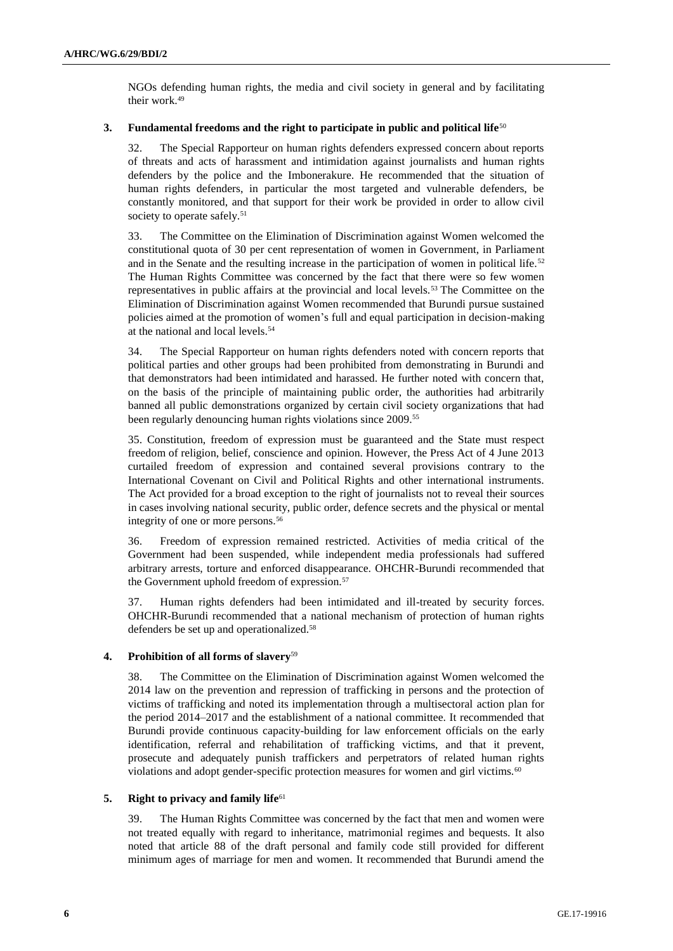NGOs defending human rights, the media and civil society in general and by facilitating their work.<sup>49</sup>

## **3.** Fundamental freedoms and the right to participate in public and political life<sup>50</sup>

32. The Special Rapporteur on human rights defenders expressed concern about reports of threats and acts of harassment and intimidation against journalists and human rights defenders by the police and the Imbonerakure. He recommended that the situation of human rights defenders, in particular the most targeted and vulnerable defenders, be constantly monitored, and that support for their work be provided in order to allow civil society to operate safely.<sup>51</sup>

33. The Committee on the Elimination of Discrimination against Women welcomed the constitutional quota of 30 per cent representation of women in Government, in Parliament and in the Senate and the resulting increase in the participation of women in political life.<sup>52</sup> The Human Rights Committee was concerned by the fact that there were so few women representatives in public affairs at the provincial and local levels.<sup>53</sup> The Committee on the Elimination of Discrimination against Women recommended that Burundi pursue sustained policies aimed at the promotion of women's full and equal participation in decision-making at the national and local levels.<sup>54</sup>

34. The Special Rapporteur on human rights defenders noted with concern reports that political parties and other groups had been prohibited from demonstrating in Burundi and that demonstrators had been intimidated and harassed. He further noted with concern that, on the basis of the principle of maintaining public order, the authorities had arbitrarily banned all public demonstrations organized by certain civil society organizations that had been regularly denouncing human rights violations since 2009.<sup>55</sup>

35. Constitution, freedom of expression must be guaranteed and the State must respect freedom of religion, belief, conscience and opinion. However, the Press Act of 4 June 2013 curtailed freedom of expression and contained several provisions contrary to the International Covenant on Civil and Political Rights and other international instruments. The Act provided for a broad exception to the right of journalists not to reveal their sources in cases involving national security, public order, defence secrets and the physical or mental integrity of one or more persons.<sup>56</sup>

36. Freedom of expression remained restricted. Activities of media critical of the Government had been suspended, while independent media professionals had suffered arbitrary arrests, torture and enforced disappearance. OHCHR-Burundi recommended that the Government uphold freedom of expression.<sup>57</sup>

37. Human rights defenders had been intimidated and ill-treated by security forces. OHCHR-Burundi recommended that a national mechanism of protection of human rights defenders be set up and operationalized.<sup>58</sup>

## **4. Prohibition of all forms of slavery**<sup>59</sup>

38. The Committee on the Elimination of Discrimination against Women welcomed the 2014 law on the prevention and repression of trafficking in persons and the protection of victims of trafficking and noted its implementation through a multisectoral action plan for the period 2014–2017 and the establishment of a national committee. It recommended that Burundi provide continuous capacity-building for law enforcement officials on the early identification, referral and rehabilitation of trafficking victims, and that it prevent, prosecute and adequately punish traffickers and perpetrators of related human rights violations and adopt gender-specific protection measures for women and girl victims.<sup>60</sup>

## **5. Right to privacy and family life**<sup>61</sup>

39. The Human Rights Committee was concerned by the fact that men and women were not treated equally with regard to inheritance, matrimonial regimes and bequests. It also noted that article 88 of the draft personal and family code still provided for different minimum ages of marriage for men and women. It recommended that Burundi amend the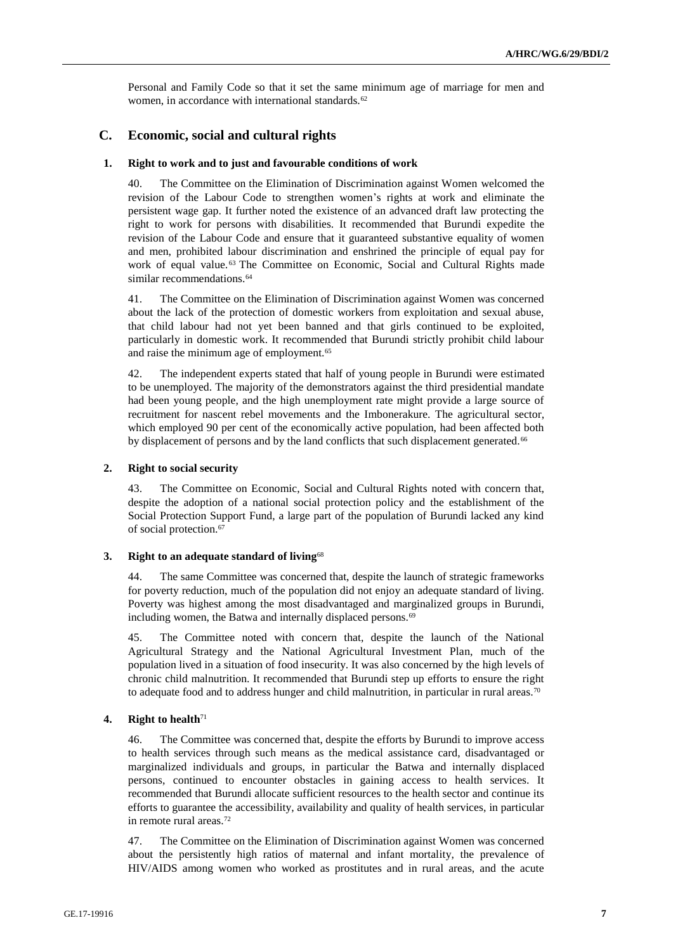Personal and Family Code so that it set the same minimum age of marriage for men and women, in accordance with international standards.<sup>62</sup>

# **C. Economic, social and cultural rights**

#### **1. Right to work and to just and favourable conditions of work**

40. The Committee on the Elimination of Discrimination against Women welcomed the revision of the Labour Code to strengthen women's rights at work and eliminate the persistent wage gap. It further noted the existence of an advanced draft law protecting the right to work for persons with disabilities. It recommended that Burundi expedite the revision of the Labour Code and ensure that it guaranteed substantive equality of women and men, prohibited labour discrimination and enshrined the principle of equal pay for work of equal value.<sup>63</sup> The Committee on Economic, Social and Cultural Rights made similar recommendations.<sup>64</sup>

41. The Committee on the Elimination of Discrimination against Women was concerned about the lack of the protection of domestic workers from exploitation and sexual abuse, that child labour had not yet been banned and that girls continued to be exploited, particularly in domestic work. It recommended that Burundi strictly prohibit child labour and raise the minimum age of employment.<sup>65</sup>

42. The independent experts stated that half of young people in Burundi were estimated to be unemployed. The majority of the demonstrators against the third presidential mandate had been young people, and the high unemployment rate might provide a large source of recruitment for nascent rebel movements and the Imbonerakure. The agricultural sector, which employed 90 per cent of the economically active population, had been affected both by displacement of persons and by the land conflicts that such displacement generated.<sup>66</sup>

### **2. Right to social security**

43. The Committee on Economic, Social and Cultural Rights noted with concern that, despite the adoption of a national social protection policy and the establishment of the Social Protection Support Fund, a large part of the population of Burundi lacked any kind of social protection.<sup>67</sup>

#### **3. Right to an adequate standard of living**<sup>68</sup>

44. The same Committee was concerned that, despite the launch of strategic frameworks for poverty reduction, much of the population did not enjoy an adequate standard of living. Poverty was highest among the most disadvantaged and marginalized groups in Burundi, including women, the Batwa and internally displaced persons.<sup>69</sup>

45. The Committee noted with concern that, despite the launch of the National Agricultural Strategy and the National Agricultural Investment Plan, much of the population lived in a situation of food insecurity. It was also concerned by the high levels of chronic child malnutrition. It recommended that Burundi step up efforts to ensure the right to adequate food and to address hunger and child malnutrition, in particular in rural areas.<sup>70</sup>

### **4. Right to health**<sup>71</sup>

46. The Committee was concerned that, despite the efforts by Burundi to improve access to health services through such means as the medical assistance card, disadvantaged or marginalized individuals and groups, in particular the Batwa and internally displaced persons, continued to encounter obstacles in gaining access to health services. It recommended that Burundi allocate sufficient resources to the health sector and continue its efforts to guarantee the accessibility, availability and quality of health services, in particular in remote rural areas.<sup>72</sup>

47. The Committee on the Elimination of Discrimination against Women was concerned about the persistently high ratios of maternal and infant mortality, the prevalence of HIV/AIDS among women who worked as prostitutes and in rural areas, and the acute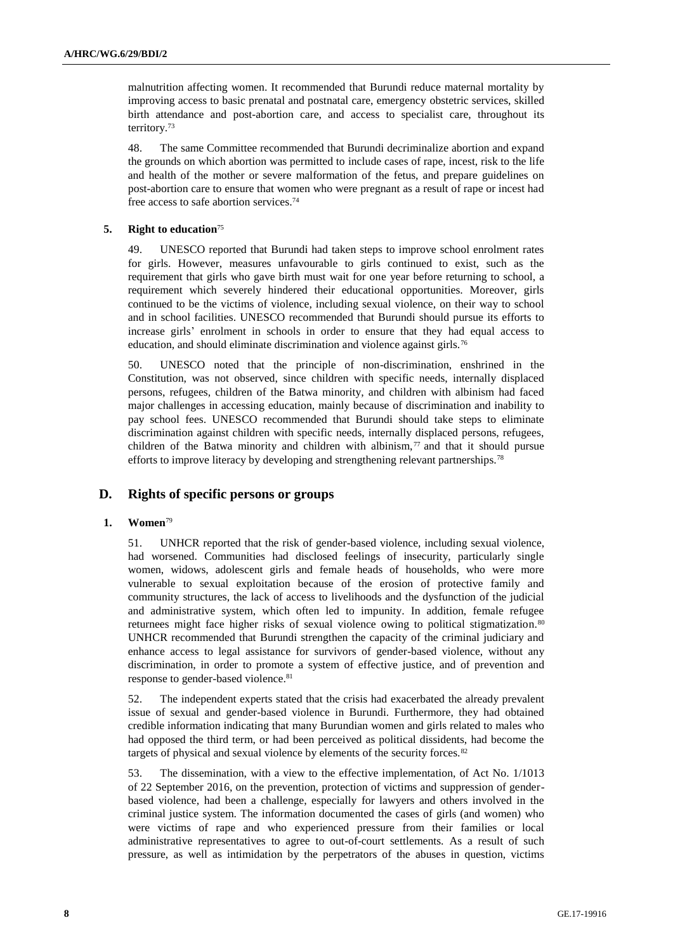malnutrition affecting women. It recommended that Burundi reduce maternal mortality by improving access to basic prenatal and postnatal care, emergency obstetric services, skilled birth attendance and post-abortion care, and access to specialist care, throughout its territory.<sup>73</sup>

48. The same Committee recommended that Burundi decriminalize abortion and expand the grounds on which abortion was permitted to include cases of rape, incest, risk to the life and health of the mother or severe malformation of the fetus, and prepare guidelines on post-abortion care to ensure that women who were pregnant as a result of rape or incest had free access to safe abortion services.<sup>74</sup>

## **5. Right to education**<sup>75</sup>

49. UNESCO reported that Burundi had taken steps to improve school enrolment rates for girls. However, measures unfavourable to girls continued to exist, such as the requirement that girls who gave birth must wait for one year before returning to school, a requirement which severely hindered their educational opportunities. Moreover, girls continued to be the victims of violence, including sexual violence, on their way to school and in school facilities. UNESCO recommended that Burundi should pursue its efforts to increase girls' enrolment in schools in order to ensure that they had equal access to education, and should eliminate discrimination and violence against girls.<sup>76</sup>

50. UNESCO noted that the principle of non-discrimination, enshrined in the Constitution, was not observed, since children with specific needs, internally displaced persons, refugees, children of the Batwa minority, and children with albinism had faced major challenges in accessing education, mainly because of discrimination and inability to pay school fees. UNESCO recommended that Burundi should take steps to eliminate discrimination against children with specific needs, internally displaced persons, refugees, children of the Batwa minority and children with albinism, $77$  and that it should pursue efforts to improve literacy by developing and strengthening relevant partnerships.<sup>78</sup>

# **D. Rights of specific persons or groups**

## **1. Women**<sup>79</sup>

51. UNHCR reported that the risk of gender-based violence, including sexual violence, had worsened. Communities had disclosed feelings of insecurity, particularly single women, widows, adolescent girls and female heads of households, who were more vulnerable to sexual exploitation because of the erosion of protective family and community structures, the lack of access to livelihoods and the dysfunction of the judicial and administrative system, which often led to impunity. In addition, female refugee returnees might face higher risks of sexual violence owing to political stigmatization.<sup>80</sup> UNHCR recommended that Burundi strengthen the capacity of the criminal judiciary and enhance access to legal assistance for survivors of gender-based violence, without any discrimination, in order to promote a system of effective justice, and of prevention and response to gender-based violence.<sup>81</sup>

52. The independent experts stated that the crisis had exacerbated the already prevalent issue of sexual and gender-based violence in Burundi. Furthermore, they had obtained credible information indicating that many Burundian women and girls related to males who had opposed the third term, or had been perceived as political dissidents, had become the targets of physical and sexual violence by elements of the security forces.<sup>82</sup>

53. The dissemination, with a view to the effective implementation, of Act No. 1/1013 of 22 September 2016, on the prevention, protection of victims and suppression of genderbased violence, had been a challenge, especially for lawyers and others involved in the criminal justice system. The information documented the cases of girls (and women) who were victims of rape and who experienced pressure from their families or local administrative representatives to agree to out-of-court settlements. As a result of such pressure, as well as intimidation by the perpetrators of the abuses in question, victims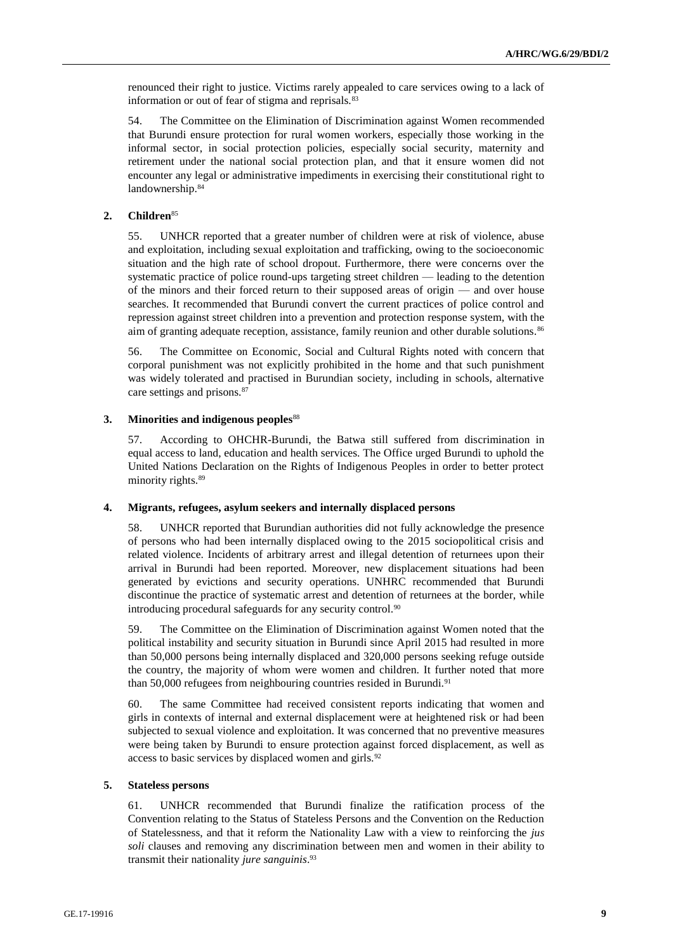renounced their right to justice. Victims rarely appealed to care services owing to a lack of information or out of fear of stigma and reprisals.<sup>83</sup>

54. The Committee on the Elimination of Discrimination against Women recommended that Burundi ensure protection for rural women workers, especially those working in the informal sector, in social protection policies, especially social security, maternity and retirement under the national social protection plan, and that it ensure women did not encounter any legal or administrative impediments in exercising their constitutional right to landownership.<sup>84</sup>

## **2. Children**<sup>85</sup>

55. UNHCR reported that a greater number of children were at risk of violence, abuse and exploitation, including sexual exploitation and trafficking, owing to the socioeconomic situation and the high rate of school dropout. Furthermore, there were concerns over the systematic practice of police round-ups targeting street children — leading to the detention of the minors and their forced return to their supposed areas of origin — and over house searches. It recommended that Burundi convert the current practices of police control and repression against street children into a prevention and protection response system, with the aim of granting adequate reception, assistance, family reunion and other durable solutions.<sup>86</sup>

56. The Committee on Economic, Social and Cultural Rights noted with concern that corporal punishment was not explicitly prohibited in the home and that such punishment was widely tolerated and practised in Burundian society, including in schools, alternative care settings and prisons.<sup>87</sup>

## **3. Minorities and indigenous peoples**<sup>88</sup>

57. According to OHCHR-Burundi, the Batwa still suffered from discrimination in equal access to land, education and health services. The Office urged Burundi to uphold the United Nations Declaration on the Rights of Indigenous Peoples in order to better protect minority rights.<sup>89</sup>

### **4. Migrants, refugees, asylum seekers and internally displaced persons**

58. UNHCR reported that Burundian authorities did not fully acknowledge the presence of persons who had been internally displaced owing to the 2015 sociopolitical crisis and related violence. Incidents of arbitrary arrest and illegal detention of returnees upon their arrival in Burundi had been reported. Moreover, new displacement situations had been generated by evictions and security operations. UNHRC recommended that Burundi discontinue the practice of systematic arrest and detention of returnees at the border, while introducing procedural safeguards for any security control.<sup>90</sup>

59. The Committee on the Elimination of Discrimination against Women noted that the political instability and security situation in Burundi since April 2015 had resulted in more than 50,000 persons being internally displaced and 320,000 persons seeking refuge outside the country, the majority of whom were women and children. It further noted that more than 50,000 refugees from neighbouring countries resided in Burundi.<sup>91</sup>

60. The same Committee had received consistent reports indicating that women and girls in contexts of internal and external displacement were at heightened risk or had been subjected to sexual violence and exploitation. It was concerned that no preventive measures were being taken by Burundi to ensure protection against forced displacement, as well as access to basic services by displaced women and girls.<sup>92</sup>

### **5. Stateless persons**

61. UNHCR recommended that Burundi finalize the ratification process of the Convention relating to the Status of Stateless Persons and the Convention on the Reduction of Statelessness, and that it reform the Nationality Law with a view to reinforcing the *jus soli* clauses and removing any discrimination between men and women in their ability to transmit their nationality *jure sanguinis*. 93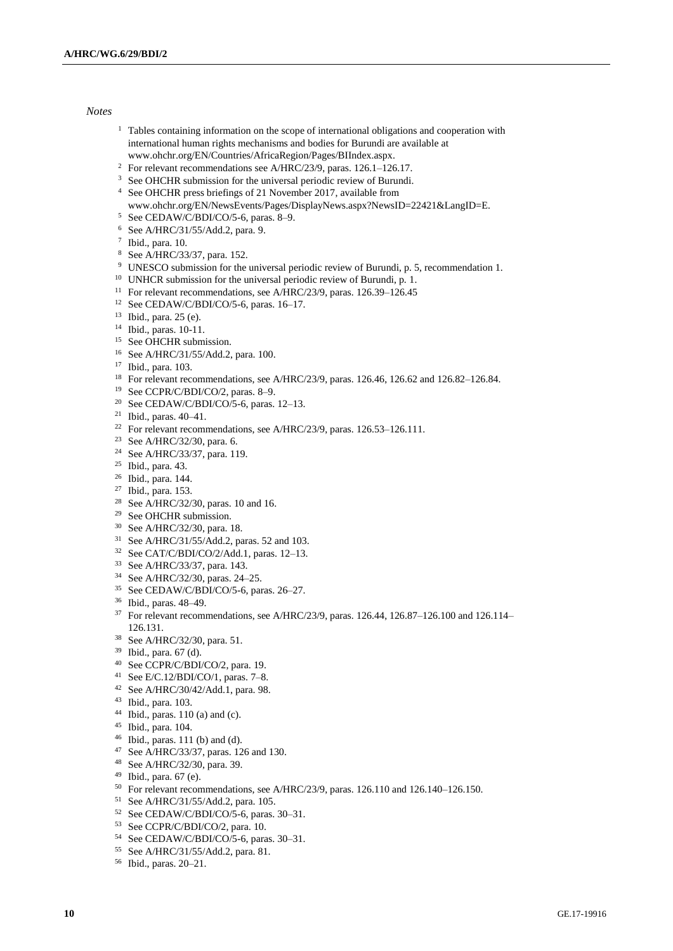#### *Notes*

- Tables containing information on the scope of international obligations and cooperation with international human rights mechanisms and bodies for Burundi are available at [www.ohchr.org/EN/Countries/AfricaRegion/Pages/BIIndex.aspx.](http://www.ohchr.org/EN/Countries/AfricaRegion/Pages/BIIndex.aspx)
- For relevant recommendations see A/HRC/23/9, paras. 126.1–126.17.
- 
- <sup>3</sup> See OHCHR submission for the universal periodic review of Burundi. See OHCHR press briefings of 21 November 2017, available from
- www.ohchr.org/EN/NewsEvents/Pages/DisplayNews.aspx?NewsID=22421&LangID=E. See CEDAW/C/BDI/CO/5-6, paras. 8–9.
- See A/HRC/31/55/Add.2, para. 9.
- Ibid., para. 10.
- See A/HRC/33/37, para. 152.
- UNESCO submission for the universal periodic review of Burundi, p. 5, recommendation 1.
- <sup>10</sup> UNHCR submission for the universal periodic review of Burundi, p. 1.
- <sup>11</sup> For relevant recommendations, see A/HRC/23/9, paras. 126.39–126.45
- See CEDAW/C/BDI/CO/5-6, paras. 16–17.
- Ibid., para. 25 (e).
- Ibid., paras. 10-11.
- <sup>15</sup> See OHCHR submission.
- See A/HRC/31/55/Add.2, para. 100.
- Ibid., para. 103.
- <sup>18</sup> For relevant recommendations, see A/HRC/23/9, paras. 126.46, 126.62 and 126.82–126.84.
- See CCPR/C/BDI/CO/2, paras. 8–9.
- See CEDAW/C/BDI/CO/5-6, paras. 12–13.
- Ibid., paras. 40–41.
- <sup>22</sup> For relevant recommendations, see A/HRC/23/9, paras. 126.53-126.111.
- See A/HRC/32/30, para. 6.
- See A/HRC/33/37, para. 119.
- Ibid., para. 43.
- Ibid., para. 144.
- Ibid., para. 153.
- See A/HRC/32/30, paras. 10 and 16.
- See OHCHR submission.
- See A/HRC/32/30, para. 18.
- See A/HRC/31/55/Add.2, paras. 52 and 103.
- See CAT/C/BDI/CO/2/Add.1, paras. 12–13.
- See A/HRC/33/37, para. 143.
- See A/HRC/32/30, paras. 24–25.
- See CEDAW/C/BDI/CO/5-6, paras. 26–27.
- Ibid., paras. 48–49.
- For relevant recommendations, see A/HRC/23/9, paras. 126.44, 126.87–126.100 and 126.114– 126.131.
- See A/HRC/32/30, para. 51.
- Ibid., para. 67 (d).
- See CCPR/C/BDI/CO/2, para. 19.
- See E/C.12/BDI/CO/1, paras. 7–8.
- See A/HRC/30/42/Add.1, para. 98.
- Ibid., para. 103.
- Ibid., paras. 110 (a) and (c).
- Ibid., para. 104.
- Ibid., paras. 111 (b) and (d).
- See A/HRC/33/37, paras. 126 and 130.
- See A/HRC/32/30, para. 39.
- Ibid., para. 67 (e).
- For relevant recommendations, see A/HRC/23/9, paras. 126.110 and 126.140–126.150.
- See A/HRC/31/55/Add.2, para. 105.
- See CEDAW/C/BDI/CO/5-6, paras. 30–31.
- See CCPR/C/BDI/CO/2, para. 10.
- See CEDAW/C/BDI/CO/5-6, paras. 30–31.
- See A/HRC/31/55/Add.2, para. 81.
- Ibid., paras. 20–21.